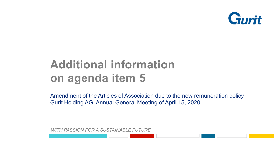

# **Additional information on agenda item 5**

Amendment of the Articles of Association due to the new remuneration policy Gurit Holding AG, Annual General Meeting of April 15, 2020

*WITH PASSION FOR A SUSTAINABLE FUTURE*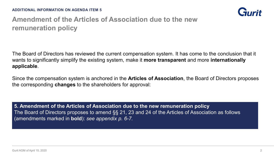

## **Amendment of the Articles of Association due to the new remuneration policy**

The Board of Directors has reviewed the current compensation system. It has come to the conclusion that it wants to significantly simplify the existing system, make it **more transparent** and more **internationally applicable**.

Since the compensation system is anchored in the **Articles of Association**, the Board of Directors proposes the corresponding **changes** to the shareholders for approval:

**5. Amendment of the Articles of Association due to the new remuneration policy** The Board of Directors proposes to amend §§ 21, 23 and 24 of the Articles of Association as follows (amendments marked in **bold**): *see appendix p. 6-7.*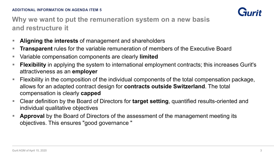

### **Why we want to put the remuneration system on a new basis and restructure it**

- **Aligning the interests** of management and shareholders
- **Transparent** rules for the variable remuneration of members of the Executive Board
- Variable compensation components are clearly **limited**
- **Filexibility** in applying the system to international employment contracts; this increases Gurit's attractiveness as an **employer**
- **Figure 1** Flexibility in the composition of the individual components of the total compensation package, allows for an adapted contract design for **contracts outside Switzerland**. The total compensation is clearly **capped**
- Clear definition by the Board of Directors for **target setting**, quantified results-oriented and individual qualitative objectives
- **Approval** by the Board of Directors of the assessment of the management meeting its objectives. This ensures "good governance "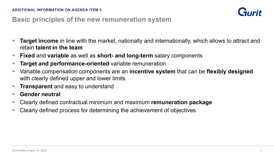

#### **Basic principles of the new remuneration system**

- **Target income** in line with the market, nationally and internationally, which allows to attract and retain **talent in the team**
- **Fixed** and **variable** as well as **short- and long-term** salary components
- **Target and performance-oriented** variable remuneration
- Variable compensation components are an **incentive system** that can be **flexibly designed**  with clearly defined upper and lower limits
- **Transparent** and easy to understand
- **Gender neutral**
- Clearly defined contractual minimum and maximum **remuneration package**
- Clearly defined process for determining the achievement of objectives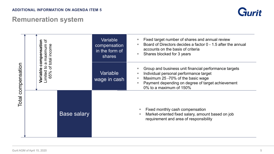#### **ADDITIONAL INFORMATION ON AGENDA ITEM 5**

# **Remuneration system**



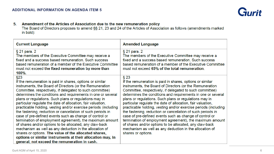

 $5<sub>1</sub>$ Amendment of the Articles of Association due to the new remuneration policy

The Board of Directors proposes to amend §§ 21, 23 and 24 of the Articles of Association as follows (amendments marked in bold):

| <b>Current Language</b>                                                                                                                                                                                                                                                                                                                                                                                                                                                                                                                                                                                                                                                                                                                                                                                                                                                                                                                  | <b>Amended Language</b>                                                                                                                                                                                                                                                                                                                                                                                                                                                                                                                                                                                                                                                                                                                                                                   |
|------------------------------------------------------------------------------------------------------------------------------------------------------------------------------------------------------------------------------------------------------------------------------------------------------------------------------------------------------------------------------------------------------------------------------------------------------------------------------------------------------------------------------------------------------------------------------------------------------------------------------------------------------------------------------------------------------------------------------------------------------------------------------------------------------------------------------------------------------------------------------------------------------------------------------------------|-------------------------------------------------------------------------------------------------------------------------------------------------------------------------------------------------------------------------------------------------------------------------------------------------------------------------------------------------------------------------------------------------------------------------------------------------------------------------------------------------------------------------------------------------------------------------------------------------------------------------------------------------------------------------------------------------------------------------------------------------------------------------------------------|
| § 21 para. 2<br>The members of the Executive Committee may receive a<br>fixed and a success based remuneration. Such success<br>based remuneration of a member of the Executive Committee<br>must not exceed the fixed remuneration by more than<br>$100\%$ .                                                                                                                                                                                                                                                                                                                                                                                                                                                                                                                                                                                                                                                                            | § 21 para. 2<br>The members of the Executive Committee may receive a<br>fixed and a success based remuneration. Such success<br>based remuneration of a member of the Executive Committee<br>must not exceed 65% of the total remuneration.                                                                                                                                                                                                                                                                                                                                                                                                                                                                                                                                               |
| §23<br>If the remuneration is paid in shares, options or similar<br>instruments, the Board of Directors (or the Remuneration<br>Committee, respectively, if delegated to such committee)<br>determines the conditions and requirements in one or several<br>plans or regulations. Such plans or regulations may in<br>particular regulate the date of allocation, fair valuation,<br>practicable holding, vesting and/or exercise periods (including<br>the fastening, reduction or cancellation of such periods in<br>case of pre-defined events such as change of control or<br>termination of employment agreement), the maximum amount<br>of shares and/or options to be allocated, any claw-back<br>mechanism as well as any deduction in the allocation of<br>shares or options. The value of the allocated shares,<br>options or similar instruments at their allocation may, in<br>general, not exceed the remuneration in cash. | $§$ 23<br>If the remuneration is paid in shares, options or similar<br>instruments, the Board of Directors (or the Remuneration<br>Committee, respectively, if delegated to such committee)<br>determines the conditions and requirements in one or several<br>plans or regulations. Such plans or regulations may in<br>particular regulate the date of allocation, fair valuation,<br>practicable holding, vesting and/or exercise periods (including<br>the fastening, reduction or cancellation of such periods in<br>case of pre-defined events such as change of control or<br>termination of employment agreement), the maximum amount<br>of shares and/or options to be allocated, any claw-back<br>mechanism as well as any deduction in the allocation of<br>shares or options. |